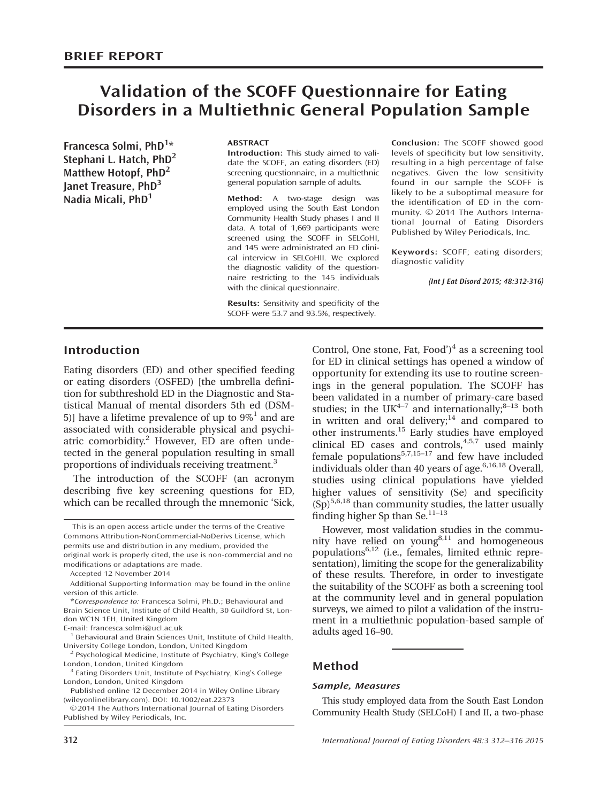# Validation of the SCOFF Questionnaire for Eating Disorders in a Multiethnic General Population Sample

Francesca Solmi, PhD<sup>1\*</sup> Stephani L. Hatch, PhD<sup>2</sup> Matthew Hotopf, PhD<sup>2</sup> Janet Treasure,  $PhD<sup>3</sup>$ Nadia Micali, PhD<sup>1</sup>

## ABSTRACT

Introduction: This study aimed to validate the SCOFF, an eating disorders (ED) screening questionnaire, in a multiethnic general population sample of adults.

Method: A two-stage design was employed using the South East London Community Health Study phases I and II data. A total of 1,669 participants were screened using the SCOFF in SELCoHI, and 145 were administrated an ED clinical interview in SELCoHII. We explored the diagnostic validity of the questionnaire restricting to the 145 individuals with the clinical questionnaire.

Results: Sensitivity and specificity of the SCOFF were 53.7 and 93.5%, respectively.

Conclusion: The SCOFF showed good levels of specificity but low sensitivity, resulting in a high percentage of false negatives. Given the low sensitivity found in our sample the SCOFF is likely to be a suboptimal measure for the identification of ED in the community. © 2014 The Authors International Journal of Eating Disorders Published by Wiley Periodicals, Inc.

Keywords: SCOFF; eating disorders; diagnostic validity

(Int J Eat Disord 2015; 48:312-316)

## Introduction

Eating disorders (ED) and other specified feeding or eating disorders (OSFED) [the umbrella definition for subthreshold ED in the Diagnostic and Statistical Manual of mental disorders 5th ed (DSM-5)] have a lifetime prevalence of up to  $9\%$ <sup>1</sup> and are associated with considerable physical and psychiatric comorbidity.<sup>2</sup> However, ED are often undetected in the general population resulting in small proportions of individuals receiving treatment.<sup>3</sup>

The introduction of the SCOFF (an acronym describing five key screening questions for ED, which can be recalled through the mnemonic 'Sick,

Accepted 12 November 2014

<sup>3</sup> Eating Disorders Unit, Institute of Psychiatry, King's College London, London, United Kingdom

Control, One stone, Fat, Food' $)^4$  as a screening tool for ED in clinical settings has opened a window of opportunity for extending its use to routine screenings in the general population. The SCOFF has been validated in a number of primary-care based studies; in the  $UK^{4-7}$  and internationally;<sup>8-13</sup> both in written and oral delivery; $14$  and compared to other instruments.<sup>15</sup> Early studies have employed clinical ED cases and controls, $4,5,7$  used mainly female populations<sup>5,7,15-17</sup> and few have included individuals older than 40 years of age.<sup>6,16,18</sup> Overall, studies using clinical populations have yielded higher values of sensitivity (Se) and specificity  $(Sp)^{5,6,18}$  than community studies, the latter usually finding higher Sp than Se. $^{11-13}$ 

However, most validation studies in the community have relied on young<sup>8,11</sup> and homogeneous populations<sup>6,12</sup> (i.e., females, limited ethnic representation), limiting the scope for the generalizability of these results. Therefore, in order to investigate the suitability of the SCOFF as both a screening tool at the community level and in general population surveys, we aimed to pilot a validation of the instrument in a multiethnic population-based sample of adults aged 16–90.

## Method

## Sample, Measures

This study employed data from the South East London Community Health Study (SELCoH) I and II, a two-phase

This is an open access article under the terms of the [Creative](http://creativecommons.org/licenses/by-nc-nd/4.0/) [Commons Attribution-NonCommercial-NoDerivs](http://creativecommons.org/licenses/by-nc-nd/4.0/) License, which permits use and distribution in any medium, provided the original work is properly cited, the use is non-commercial and no modifications or adaptations are made.

Additional Supporting Information may be found in the online version of this article.

<sup>\*</sup>Correspondence to: Francesca Solmi, Ph.D.; Behavioural and Brain Science Unit, Institute of Child Health, 30 Guildford St, London WC1N 1EH, United Kingdom

E-mail: francesca.solmi@ucl.ac.uk

<sup>1</sup> Behavioural and Brain Sciences Unit, Institute of Child Health, University College London, London, United Kingdom

 $2$  Psychological Medicine, Institute of Psychiatry, King's College London, London, United Kingdom

Published online 12 December 2014 in Wiley Online Library (wileyonlinelibrary.com). DOI: 10.1002/eat.22373

V<sup>C</sup> 2014 The Authors International Journal of Eating Disorders Published by Wiley Periodicals, Inc.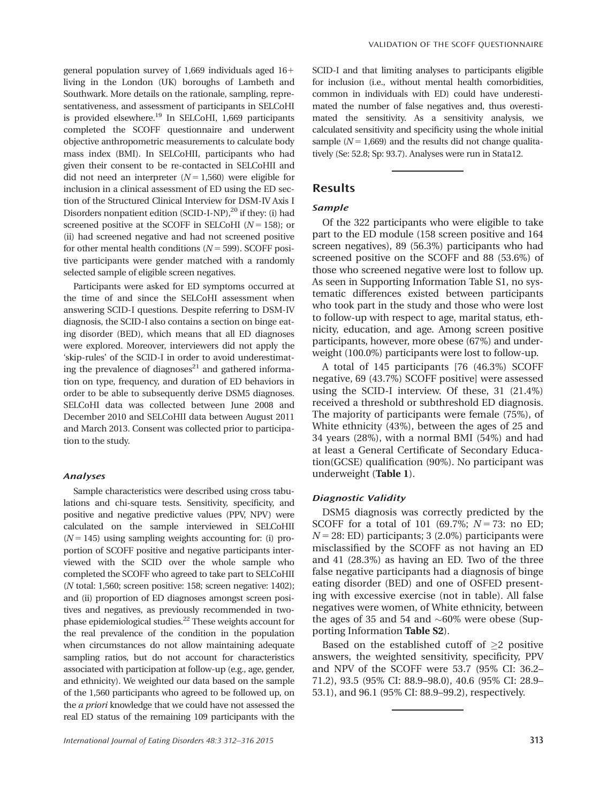general population survey of 1,669 individuals aged  $16+$ living in the London (UK) boroughs of Lambeth and Southwark. More details on the rationale, sampling, representativeness, and assessment of participants in SELCoHI is provided elsewhere.<sup>19</sup> In SELCoHI, 1,669 participants completed the SCOFF questionnaire and underwent objective anthropometric measurements to calculate body mass index (BMI). In SELCoHII, participants who had given their consent to be re-contacted in SELCoHII and did not need an interpreter  $(N = 1,560)$  were eligible for inclusion in a clinical assessment of ED using the ED section of the Structured Clinical Interview for DSM-IV Axis I Disorders nonpatient edition (SCID-I-NP),<sup>20</sup> if they: (i) had screened positive at the SCOFF in SELCoHI ( $N = 158$ ); or (ii) had screened negative and had not screened positive for other mental health conditions ( $N = 599$ ). SCOFF positive participants were gender matched with a randomly selected sample of eligible screen negatives.

Participants were asked for ED symptoms occurred at the time of and since the SELCoHI assessment when answering SCID-I questions. Despite referring to DSM-IV diagnosis, the SCID-I also contains a section on binge eating disorder (BED), which means that all ED diagnoses were explored. Moreover, interviewers did not apply the 'skip-rules' of the SCID-I in order to avoid underestimating the prevalence of diagnoses $^{21}$  and gathered information on type, frequency, and duration of ED behaviors in order to be able to subsequently derive DSM5 diagnoses. SELCoHI data was collected between June 2008 and December 2010 and SELCoHII data between August 2011 and March 2013. Consent was collected prior to participation to the study.

## Analyses

Sample characteristics were described using cross tabulations and chi-square tests. Sensitivity, specificity, and positive and negative predictive values (PPV, NPV) were calculated on the sample interviewed in SELCoHII  $(N = 145)$  using sampling weights accounting for: (i) proportion of SCOFF positive and negative participants interviewed with the SCID over the whole sample who completed the SCOFF who agreed to take part to SELCoHII (N total: 1,560; screen positive: 158; screen negative: 1402); and (ii) proportion of ED diagnoses amongst screen positives and negatives, as previously recommended in twophase epidemiological studies.<sup>22</sup> These weights account for the real prevalence of the condition in the population when circumstances do not allow maintaining adequate sampling ratios, but do not account for characteristics associated with participation at follow-up (e.g., age, gender, and ethnicity). We weighted our data based on the sample of the 1,560 participants who agreed to be followed up, on the a priori knowledge that we could have not assessed the real ED status of the remaining 109 participants with the SCID-I and that limiting analyses to participants eligible for inclusion (i.e., without mental health comorbidities, common in individuals with ED) could have underestimated the number of false negatives and, thus overestimated the sensitivity. As a sensitivity analysis, we calculated sensitivity and specificity using the whole initial sample ( $N = 1,669$ ) and the results did not change qualitatively (Se: 52.8; Sp: 93.7). Analyses were run in Stata12.

## Results

## Sample

Of the 322 participants who were eligible to take part to the ED module (158 screen positive and 164 screen negatives), 89 (56.3%) participants who had screened positive on the SCOFF and 88 (53.6%) of those who screened negative were lost to follow up. As seen in Supporting Information Table S1, no systematic differences existed between participants who took part in the study and those who were lost to follow-up with respect to age, marital status, ethnicity, education, and age. Among screen positive participants, however, more obese (67%) and underweight (100.0%) participants were lost to follow-up.

A total of 145 participants [76 (46.3%) SCOFF negative, 69 (43.7%) SCOFF positive] were assessed using the SCID-I interview. Of these, 31 (21.4%) received a threshold or subthreshold ED diagnosis. The majority of participants were female (75%), of White ethnicity (43%), between the ages of 25 and 34 years (28%), with a normal BMI (54%) and had at least a General Certificate of Secondary Education(GCSE) qualification (90%). No participant was underweight (Table 1).

## Diagnostic Validity

DSM5 diagnosis was correctly predicted by the SCOFF for a total of 101 (69.7%;  $N = 73$ : no ED;  $N = 28$ : ED) participants; 3 (2.0%) participants were misclassified by the SCOFF as not having an ED and 41 (28.3%) as having an ED. Two of the three false negative participants had a diagnosis of binge eating disorder (BED) and one of OSFED presenting with excessive exercise (not in table). All false negatives were women, of White ethnicity, between the ages of 35 and 54 and  $\sim$ 60% were obese (Supporting Information Table S2).

Based on the established cutoff of  $\geq 2$  positive answers, the weighted sensitivity, specificity, PPV and NPV of the SCOFF were 53.7 (95% CI: 36.2– 71.2), 93.5 (95% CI: 88.9–98.0), 40.6 (95% CI: 28.9– 53.1), and 96.1 (95% CI: 88.9–99.2), respectively.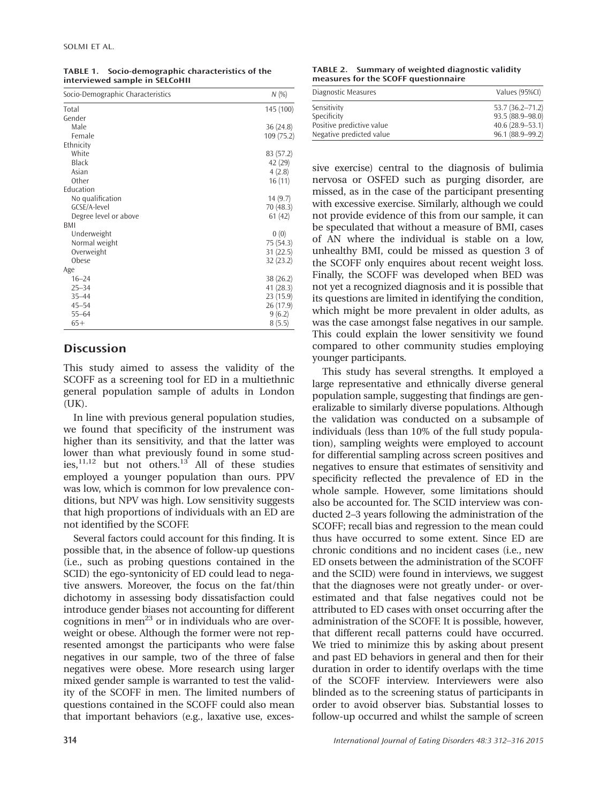| Socio-Demographic Characteristics | N(%)      |
|-----------------------------------|-----------|
| Total                             | 145 (100) |
| Gender                            |           |
| Male                              | 36(24.8)  |
| Female                            | 109(75.2) |
| Ethnicity                         |           |
| White                             | 83 (57.2) |
| <b>Black</b>                      | 42 (29)   |
| Asian                             | 4(2.8)    |
| Other                             | 16(11)    |
| Education                         |           |
| No qualification                  | 14(9.7)   |
| GCSE/A-level                      | 70 (48.3) |
| Degree level or above             | 61(42)    |
| <b>BMI</b>                        |           |
| Underweight                       | 0(0)      |
| Normal weight                     | 75 (54.3) |
| Overweight                        | 31(22.5)  |
| Obese                             | 32 (23.2) |
| Age                               |           |
| $16 - 24$                         | 38 (26.2) |
| $25 - 34$                         | 41 (28.3) |
| $35 - 44$                         | 23 (15.9) |
| $45 - 54$                         | 26 (17.9) |
| $55 - 64$                         | 9(6.2)    |
| $65+$                             | 8(5.5)    |

| TABLE 1. Socio-demographic characteristics of the |
|---------------------------------------------------|
| interviewed sample in SELCoHII                    |

# **Discussion**

This study aimed to assess the validity of the SCOFF as a screening tool for ED in a multiethnic general population sample of adults in London (UK).

In line with previous general population studies, we found that specificity of the instrument was higher than its sensitivity, and that the latter was lower than what previously found in some studies, $^{11,12}$  but not others. $^{13'}$  All of these studies employed a younger population than ours. PPV was low, which is common for low prevalence conditions, but NPV was high. Low sensitivity suggests that high proportions of individuals with an ED are not identified by the SCOFF.

Several factors could account for this finding. It is possible that, in the absence of follow-up questions (i.e., such as probing questions contained in the SCID) the ego-syntonicity of ED could lead to negative answers. Moreover, the focus on the fat/thin dichotomy in assessing body dissatisfaction could introduce gender biases not accounting for different cognitions in men $^{23}$  or in individuals who are overweight or obese. Although the former were not represented amongst the participants who were false negatives in our sample, two of the three of false negatives were obese. More research using larger mixed gender sample is warranted to test the validity of the SCOFF in men. The limited numbers of questions contained in the SCOFF could also mean that important behaviors (e.g., laxative use, exces-

TABLE 2. Summary of weighted diagnostic validity measures for the SCOFF questionnaire

| Diagnostic Measures                      | Values (95%CI)                       |
|------------------------------------------|--------------------------------------|
| Sensitivity                              | 53.7 (36.2-71.2)<br>93.5 (88.9-98.0) |
| Specificity<br>Positive predictive value | $40.6(28.9 - 53.1)$                  |
| Negative predicted value                 | 96.1 (88.9-99.2)                     |

sive exercise) central to the diagnosis of bulimia nervosa or OSFED such as purging disorder, are missed, as in the case of the participant presenting with excessive exercise. Similarly, although we could not provide evidence of this from our sample, it can be speculated that without a measure of BMI, cases of AN where the individual is stable on a low, unhealthy BMI, could be missed as question 3 of the SCOFF only enquires about recent weight loss. Finally, the SCOFF was developed when BED was not yet a recognized diagnosis and it is possible that its questions are limited in identifying the condition, which might be more prevalent in older adults, as was the case amongst false negatives in our sample. This could explain the lower sensitivity we found compared to other community studies employing younger participants.

This study has several strengths. It employed a large representative and ethnically diverse general population sample, suggesting that findings are generalizable to similarly diverse populations. Although the validation was conducted on a subsample of individuals (less than 10% of the full study population), sampling weights were employed to account for differential sampling across screen positives and negatives to ensure that estimates of sensitivity and specificity reflected the prevalence of ED in the whole sample. However, some limitations should also be accounted for. The SCID interview was conducted 2–3 years following the administration of the SCOFF; recall bias and regression to the mean could thus have occurred to some extent. Since ED are chronic conditions and no incident cases (i.e., new ED onsets between the administration of the SCOFF and the SCID) were found in interviews, we suggest that the diagnoses were not greatly under- or overestimated and that false negatives could not be attributed to ED cases with onset occurring after the administration of the SCOFF. It is possible, however, that different recall patterns could have occurred. We tried to minimize this by asking about present and past ED behaviors in general and then for their duration in order to identify overlaps with the time of the SCOFF interview. Interviewers were also blinded as to the screening status of participants in order to avoid observer bias. Substantial losses to follow-up occurred and whilst the sample of screen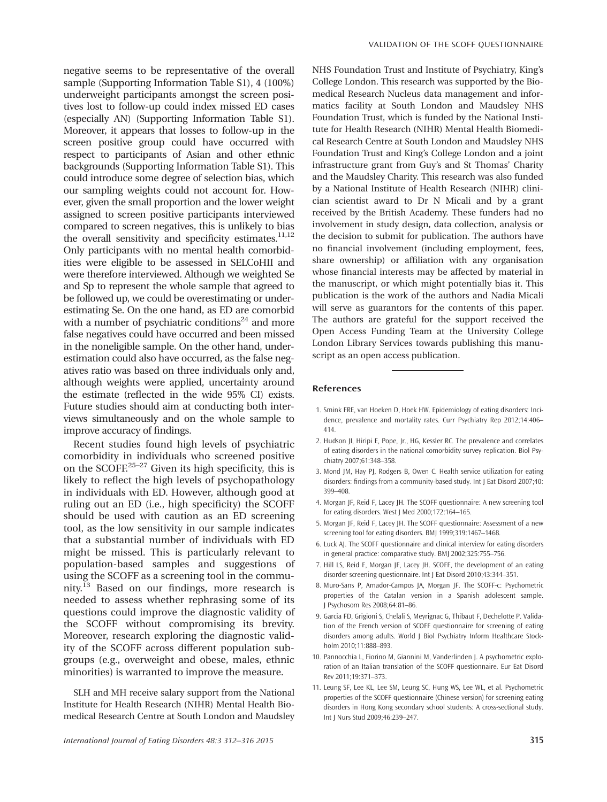negative seems to be representative of the overall sample (Supporting Information Table S1), 4 (100%) underweight participants amongst the screen positives lost to follow-up could index missed ED cases (especially AN) (Supporting Information Table S1). Moreover, it appears that losses to follow-up in the screen positive group could have occurred with respect to participants of Asian and other ethnic backgrounds (Supporting Information Table S1). This could introduce some degree of selection bias, which our sampling weights could not account for. However, given the small proportion and the lower weight assigned to screen positive participants interviewed compared to screen negatives, this is unlikely to bias the overall sensitivity and specificity estimates.<sup>11,12</sup> Only participants with no mental health comorbidities were eligible to be assessed in SELCoHII and were therefore interviewed. Although we weighted Se and Sp to represent the whole sample that agreed to be followed up, we could be overestimating or underestimating Se. On the one hand, as ED are comorbid with a number of psychiatric conditions<sup>24</sup> and more false negatives could have occurred and been missed in the noneligible sample. On the other hand, underestimation could also have occurred, as the false negatives ratio was based on three individuals only and, although weights were applied, uncertainty around the estimate (reflected in the wide 95% CI) exists. Future studies should aim at conducting both interviews simultaneously and on the whole sample to improve accuracy of findings.

Recent studies found high levels of psychiatric comorbidity in individuals who screened positive on the SCOFF. $25-27$  Given its high specificity, this is likely to reflect the high levels of psychopathology in individuals with ED. However, although good at ruling out an ED (i.e., high specificity) the SCOFF should be used with caution as an ED screening tool, as the low sensitivity in our sample indicates that a substantial number of individuals with ED might be missed. This is particularly relevant to population-based samples and suggestions of using the SCOFF as a screening tool in the community.<sup>13</sup> Based on our findings, more research is needed to assess whether rephrasing some of its questions could improve the diagnostic validity of the SCOFF without compromising its brevity. Moreover, research exploring the diagnostic validity of the SCOFF across different population subgroups (e.g., overweight and obese, males, ethnic minorities) is warranted to improve the measure.

SLH and MH receive salary support from the National Institute for Health Research (NIHR) Mental Health Biomedical Research Centre at South London and Maudsley NHS Foundation Trust and Institute of Psychiatry, King's College London. This research was supported by the Biomedical Research Nucleus data management and informatics facility at South London and Maudsley NHS Foundation Trust, which is funded by the National Institute for Health Research (NIHR) Mental Health Biomedical Research Centre at South London and Maudsley NHS Foundation Trust and King's College London and a joint infrastructure grant from Guy's and St Thomas' Charity and the Maudsley Charity. This research was also funded by a National Institute of Health Research (NIHR) clinician scientist award to Dr N Micali and by a grant received by the British Academy. These funders had no involvement in study design, data collection, analysis or the decision to submit for publication. The authors have no financial involvement (including employment, fees, share ownership) or affiliation with any organisation whose financial interests may be affected by material in the manuscript, or which might potentially bias it. This publication is the work of the authors and Nadia Micali will serve as guarantors for the contents of this paper. The authors are grateful for the support received the Open Access Funding Team at the University College London Library Services towards publishing this manuscript as an open access publication.

#### References

- 1. Smink FRE, van Hoeken D, Hoek HW. Epidemiology of eating disorders: Incidence, prevalence and mortality rates. Curr Psychiatry Rep 2012;14:406– 414.
- 2. Hudson JI, Hiripi E, Pope, Jr., HG, Kessler RC. The prevalence and correlates of eating disorders in the national comorbidity survey replication. Biol Psychiatry 2007;61:348–358.
- 3. Mond JM, Hay PJ, Rodgers B, Owen C. Health service utilization for eating disorders: findings from a community-based study. Int J Eat Disord 2007;40: 399–408.
- 4. Morgan JF, Reid F, Lacey JH. The SCOFF questionnaire: A new screening tool for eating disorders. West J Med 2000;172:164–165.
- 5. Morgan JF, Reid F, Lacey JH. The SCOFF questionnaire: Assessment of a new screening tool for eating disorders. BMJ 1999;319:1467–1468.
- 6. Luck AJ. The SCOFF questionnaire and clinical interview for eating disorders in general practice: comparative study. BMJ 2002;325:755–756.
- 7. Hill LS, Reid F, Morgan JF, Lacey JH. SCOFF, the development of an eating disorder screening questionnaire. Int J Eat Disord 2010;43:344–351.
- 8. Muro-Sans P, Amador-Campos JA, Morgan JF. The SCOFF-c: Psychometric properties of the Catalan version in a Spanish adolescent sample. J Psychosom Res 2008;64:81–86.
- 9. Garcia FD, Grigioni S, Chelali S, Meyrignac G, Thibaut F, Dechelotte P. Validation of the French version of SCOFF questionnaire for screening of eating disorders among adults. World J Biol Psychiatry Inform Healthcare Stockholm 2010;11:888–893.
- 10. Pannocchia L, Fiorino M, Giannini M, Vanderlinden J. A psychometric exploration of an Italian translation of the SCOFF questionnaire. Eur Eat Disord Rev 2011;19:371–373.
- 11. Leung SF, Lee KL, Lee SM, Leung SC, Hung WS, Lee WL, et al. Psychometric properties of the SCOFF questionnaire (Chinese version) for screening eating disorders in Hong Kong secondary school students: A cross-sectional study. Int J Nurs Stud 2009;46:239–247.